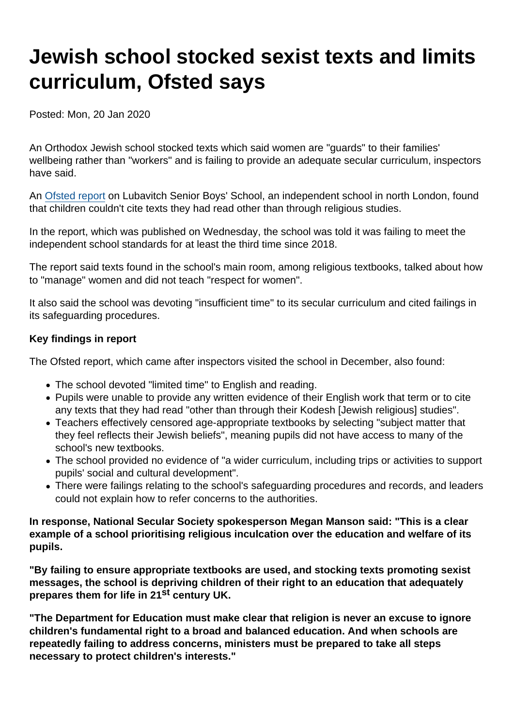## Jewish school stocked sexist texts and limits curriculum, Ofsted says

Posted: Mon, 20 Jan 2020

An Orthodox Jewish school stocked texts which said women are "guards" to their families' wellbeing rather than "workers" and is failing to provide an adequate secular curriculum, inspectors have said.

An [Ofsted report](https://files.ofsted.gov.uk/v1/file/50143319) on Lubavitch Senior Boys' School, an independent school in north London, found that children couldn't cite texts they had read other than through religious studies.

In the report, which was published on Wednesday, the school was told it was failing to meet the independent school standards for at least the third time since 2018.

The report said texts found in the school's main room, among religious textbooks, talked about how to "manage" women and did not teach "respect for women".

It also said the school was devoting "insufficient time" to its secular curriculum and cited failings in its safeguarding procedures.

## Key findings in report

The Ofsted report, which came after inspectors visited the school in December, also found:

- The school devoted "limited time" to English and reading.
- Pupils were unable to provide any written evidence of their English work that term or to cite any texts that they had read "other than through their Kodesh [Jewish religious] studies".
- Teachers effectively censored age-appropriate textbooks by selecting "subject matter that they feel reflects their Jewish beliefs", meaning pupils did not have access to many of the school's new textbooks.
- The school provided no evidence of "a wider curriculum, including trips or activities to support pupils' social and cultural development".
- There were failings relating to the school's safeguarding procedures and records, and leaders could not explain how to refer concerns to the authorities.

In response, National Secular Society spokesperson Megan Manson said : "This is a clear example of a school prioritising religious inculcation over the education and welfare of its pupils.

"By failing to ensure appropriate textbooks are used, and stocking texts promoting sexist messages, the school is depriving children of their right to an education that adequately prepares them for life in 21 st century UK.

"The Department for Education must make clear that religion is never an excuse to ignore children's fundamental right to a broad and balanced education. And when schools are repeatedly failing to address concerns, ministers must be prepared to take all steps necessary to protect children's interests."